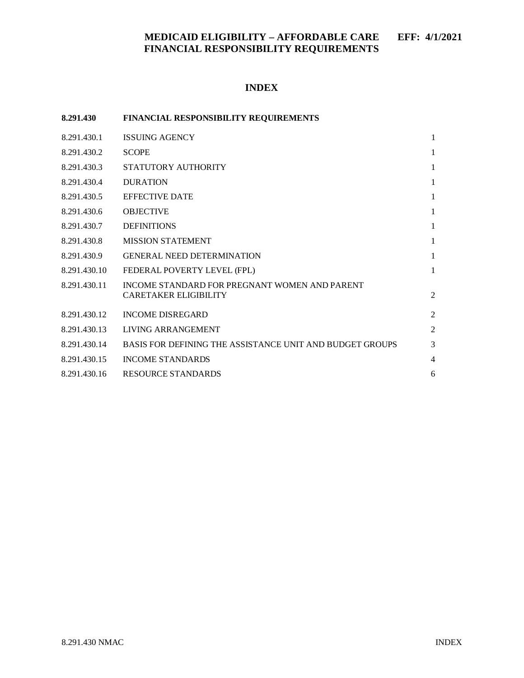#### **INDEX**

| 8.291.430    | FINANCIAL RESPONSIBILITY REQUIREMENTS                                         |                |
|--------------|-------------------------------------------------------------------------------|----------------|
| 8.291.430.1  | <b>ISSUING AGENCY</b>                                                         | 1              |
| 8.291.430.2  | <b>SCOPE</b>                                                                  | 1              |
| 8.291.430.3  | STATUTORY AUTHORITY                                                           | $\mathbf{1}$   |
| 8.291.430.4  | <b>DURATION</b>                                                               | $\mathbf{1}$   |
| 8.291.430.5  | <b>EFFECTIVE DATE</b>                                                         | $\mathbf{1}$   |
| 8.291.430.6  | <b>OBJECTIVE</b>                                                              | $\mathbf{1}$   |
| 8.291.430.7  | <b>DEFINITIONS</b>                                                            | $\mathbf{1}$   |
| 8.291.430.8  | <b>MISSION STATEMENT</b>                                                      | $\mathbf{1}$   |
| 8.291.430.9  | <b>GENERAL NEED DETERMINATION</b>                                             | $\mathbf{1}$   |
| 8.291.430.10 | FEDERAL POVERTY LEVEL (FPL)                                                   | $\mathbf{1}$   |
| 8.291.430.11 | INCOME STANDARD FOR PREGNANT WOMEN AND PARENT<br><b>CARETAKER ELIGIBILITY</b> | $\overline{c}$ |
| 8.291.430.12 | <b>INCOME DISREGARD</b>                                                       | $\overline{2}$ |
| 8.291.430.13 | LIVING ARRANGEMENT                                                            | $\overline{2}$ |
| 8.291.430.14 | BASIS FOR DEFINING THE ASSISTANCE UNIT AND BUDGET GROUPS                      | 3              |
| 8.291.430.15 | <b>INCOME STANDARDS</b>                                                       | $\overline{4}$ |
| 8.291.430.16 | <b>RESOURCE STANDARDS</b>                                                     | 6              |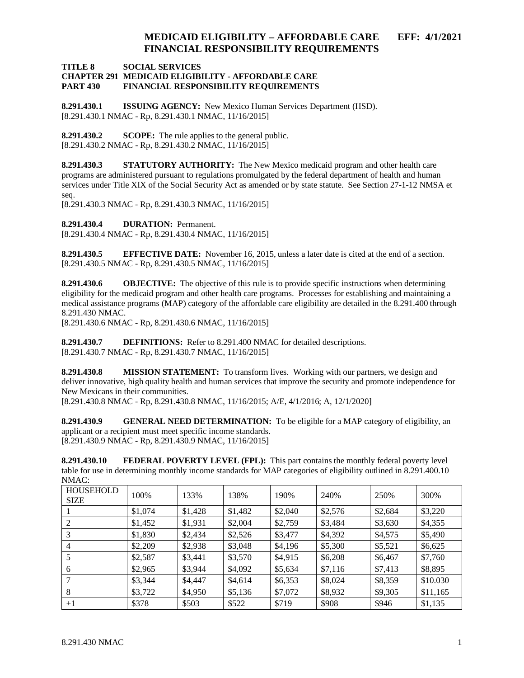#### **TITLE 8 SOCIAL SERVICES CHAPTER 291 MEDICAID ELIGIBILITY - AFFORDABLE CARE FINANCIAL RESPONSIBILITY REQUIREMENTS**

<span id="page-1-0"></span>**8.291.430.1 ISSUING AGENCY:** New Mexico Human Services Department (HSD). [8.291.430.1 NMAC - Rp, 8.291.430.1 NMAC, 11/16/2015]

<span id="page-1-1"></span>**8.291.430.2 SCOPE:** The rule applies to the general public. [8.291.430.2 NMAC - Rp, 8.291.430.2 NMAC, 11/16/2015]

<span id="page-1-2"></span>**8.291.430.3 STATUTORY AUTHORITY:** The New Mexico medicaid program and other health care programs are administered pursuant to regulations promulgated by the federal department of health and human services under Title XIX of the Social Security Act as amended or by state statute. See Section 27-1-12 NMSA et seq.

[8.291.430.3 NMAC - Rp, 8.291.430.3 NMAC, 11/16/2015]

<span id="page-1-3"></span>**8.291.430.4 DURATION:** Permanent.

[8.291.430.4 NMAC - Rp, 8.291.430.4 NMAC, 11/16/2015]

<span id="page-1-4"></span>**8.291.430.5 EFFECTIVE DATE:** November 16, 2015, unless a later date is cited at the end of a section. [8.291.430.5 NMAC - Rp, 8.291.430.5 NMAC, 11/16/2015]

<span id="page-1-5"></span>**8.291.430.6 OBJECTIVE:** The objective of this rule is to provide specific instructions when determining eligibility for the medicaid program and other health care programs. Processes for establishing and maintaining a medical assistance programs (MAP) category of the affordable care eligibility are detailed in the 8.291.400 through 8.291.430 NMAC.

[8.291.430.6 NMAC - Rp, 8.291.430.6 NMAC, 11/16/2015]

<span id="page-1-6"></span>**8.291.430.7 DEFINITIONS:** Refer to 8.291.400 NMAC for detailed descriptions. [8.291.430.7 NMAC - Rp, 8.291.430.7 NMAC, 11/16/2015]

<span id="page-1-7"></span>**8.291.430.8 MISSION STATEMENT:** To transform lives. Working with our partners, we design and deliver innovative, high quality health and human services that improve the security and promote independence for New Mexicans in their communities.

[8.291.430.8 NMAC - Rp, 8.291.430.8 NMAC, 11/16/2015; A/E, 4/1/2016; A, 12/1/2020]

<span id="page-1-8"></span>**8.291.430.9 GENERAL NEED DETERMINATION:** To be eligible for a MAP category of eligibility, an applicant or a recipient must meet specific income standards. [8.291.430.9 NMAC - Rp, 8.291.430.9 NMAC, 11/16/2015]

<span id="page-1-9"></span>**8.291.430.10 FEDERAL POVERTY LEVEL (FPL):** This part contains the monthly federal poverty level table for use in determining monthly income standards for MAP categories of eligibility outlined in 8.291.400.10 NMAC:

| <b>HOUSEHOLD</b><br><b>SIZE</b> | 100%    | 133%    | 138%    | 190%    | 240%    | 250%    | 300%     |
|---------------------------------|---------|---------|---------|---------|---------|---------|----------|
|                                 | \$1,074 | \$1,428 | \$1,482 | \$2,040 | \$2,576 | \$2,684 | \$3,220  |
| 2                               | \$1,452 | \$1,931 | \$2,004 | \$2,759 | \$3,484 | \$3,630 | \$4,355  |
| 3                               | \$1,830 | \$2,434 | \$2,526 | \$3,477 | \$4,392 | \$4,575 | \$5,490  |
| 4                               | \$2,209 | \$2,938 | \$3,048 | \$4,196 | \$5,300 | \$5,521 | \$6,625  |
|                                 | \$2,587 | \$3,441 | \$3,570 | \$4,915 | \$6,208 | \$6,467 | \$7,760  |
| 6                               | \$2,965 | \$3,944 | \$4,092 | \$5,634 | \$7,116 | \$7,413 | \$8,895  |
|                                 | \$3,344 | \$4,447 | \$4,614 | \$6,353 | \$8,024 | \$8,359 | \$10.030 |
| 8                               | \$3,722 | \$4,950 | \$5,136 | \$7,072 | \$8,932 | \$9,305 | \$11,165 |
| $+1$                            | \$378   | \$503   | \$522   | \$719   | \$908   | \$946   | \$1,135  |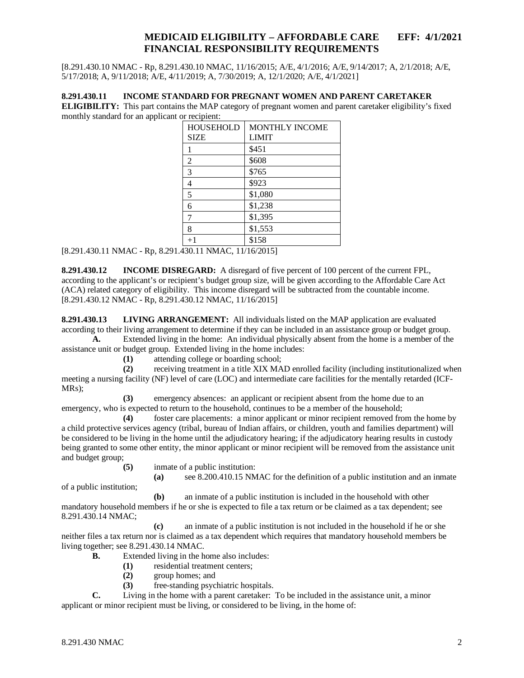[8.291.430.10 NMAC - Rp, 8.291.430.10 NMAC, 11/16/2015; A/E, 4/1/2016; A/E, 9/14/2017; A, 2/1/2018; A/E, 5/17/2018; A, 9/11/2018; A/E, 4/11/2019; A, 7/30/2019; A, 12/1/2020; A/E, 4/1/2021]

#### <span id="page-2-0"></span>**8.291.430.11 INCOME STANDARD FOR PREGNANT WOMEN AND PARENT CARETAKER**

**ELIGIBILITY:** This part contains the MAP category of pregnant women and parent caretaker eligibility's fixed monthly standard for an applicant or recipient:

| <b>HOUSEHOLD</b> | <b>MONTHLY INCOME</b> |  |  |  |
|------------------|-----------------------|--|--|--|
| <b>SIZE</b>      | <b>LIMIT</b>          |  |  |  |
|                  | \$451                 |  |  |  |
| 2                | \$608                 |  |  |  |
| 3                | \$765                 |  |  |  |
| 4                | \$923                 |  |  |  |
| 5                | \$1,080               |  |  |  |
| 6                | \$1,238               |  |  |  |
| 7                | \$1,395               |  |  |  |
| 8                | \$1,553               |  |  |  |
| $+1$             | \$158                 |  |  |  |

[8.291.430.11 NMAC - Rp, 8.291.430.11 NMAC, 11/16/2015]

<span id="page-2-1"></span>**8.291.430.12 INCOME DISREGARD:** A disregard of five percent of 100 percent of the current FPL, according to the applicant's or recipient's budget group size, will be given according to the Affordable Care Act (ACA) related category of eligibility. This income disregard will be subtracted from the countable income. [8.291.430.12 NMAC - Rp, 8.291.430.12 NMAC, 11/16/2015]

<span id="page-2-2"></span>**8.291.430.13 LIVING ARRANGEMENT:** All individuals listed on the MAP application are evaluated according to their living arrangement to determine if they can be included in an assistance group or budget group.

**A.** Extended living in the home: An individual physically absent from the home is a member of the assistance unit or budget group. Extended living in the home includes:

**(1)** attending college or boarding school;

**(2)** receiving treatment in a title XIX MAD enrolled facility (including institutionalized when meeting a nursing facility (NF) level of care (LOC) and intermediate care facilities for the mentally retarded (ICF-MRs);

**(3)** emergency absences: an applicant or recipient absent from the home due to an emergency, who is expected to return to the household, continues to be a member of the household;

**(4)** foster care placements: a minor applicant or minor recipient removed from the home by a child protective services agency (tribal, bureau of Indian affairs, or children, youth and families department) will be considered to be living in the home until the adjudicatory hearing; if the adjudicatory hearing results in custody being granted to some other entity, the minor applicant or minor recipient will be removed from the assistance unit and budget group;

**(5)** inmate of a public institution:

**(a)** see 8.200.410.15 NMAC for the definition of a public institution and an inmate

of a public institution;

**(b)** an inmate of a public institution is included in the household with other mandatory household members if he or she is expected to file a tax return or be claimed as a tax dependent; see 8.291.430.14 NMAC;

**(c)** an inmate of a public institution is not included in the household if he or she neither files a tax return nor is claimed as a tax dependent which requires that mandatory household members be living together; see 8.291.430.14 NMAC.

- **B.** Extended living in the home also includes:
	- **(1)** residential treatment centers;
	- **(2)** group homes; and
	- **(3)** free-standing psychiatric hospitals.

**C.** Living in the home with a parent caretaker: To be included in the assistance unit, a minor applicant or minor recipient must be living, or considered to be living, in the home of: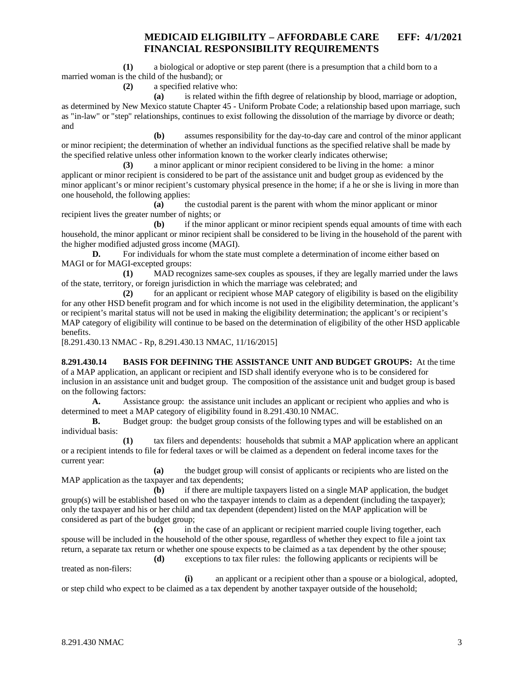**(1)** a biological or adoptive or step parent (there is a presumption that a child born to a married woman is the child of the husband); or

**(2)** a specified relative who:

**(a)** is related within the fifth degree of relationship by blood, marriage or adoption, as determined by New Mexico statute Chapter 45 - Uniform Probate Code; a relationship based upon marriage, such as "in-law" or "step" relationships, continues to exist following the dissolution of the marriage by divorce or death; and

**(b)** assumes responsibility for the day-to-day care and control of the minor applicant or minor recipient; the determination of whether an individual functions as the specified relative shall be made by the specified relative unless other information known to the worker clearly indicates otherwise;

**(3)** a minor applicant or minor recipient considered to be living in the home: a minor applicant or minor recipient is considered to be part of the assistance unit and budget group as evidenced by the minor applicant's or minor recipient's customary physical presence in the home; if a he or she is living in more than one household, the following applies:

**(a)** the custodial parent is the parent with whom the minor applicant or minor recipient lives the greater number of nights; or

**(b)** if the minor applicant or minor recipient spends equal amounts of time with each household, the minor applicant or minor recipient shall be considered to be living in the household of the parent with the higher modified adjusted gross income (MAGI).

**D.** For individuals for whom the state must complete a determination of income either based on MAGI or for MAGI-excepted groups:

**(1)** MAD recognizes same-sex couples as spouses, if they are legally married under the laws of the state, territory, or foreign jurisdiction in which the marriage was celebrated; and

**(2)** for an applicant or recipient whose MAP category of eligibility is based on the eligibility for any other HSD benefit program and for which income is not used in the eligibility determination, the applicant's or recipient's marital status will not be used in making the eligibility determination; the applicant's or recipient's MAP category of eligibility will continue to be based on the determination of eligibility of the other HSD applicable benefits.

[8.291.430.13 NMAC - Rp, 8.291.430.13 NMAC, 11/16/2015]

<span id="page-3-0"></span>**8.291.430.14 BASIS FOR DEFINING THE ASSISTANCE UNIT AND BUDGET GROUPS:** At the time of a MAP application, an applicant or recipient and ISD shall identify everyone who is to be considered for inclusion in an assistance unit and budget group. The composition of the assistance unit and budget group is based on the following factors:

**A.** Assistance group: the assistance unit includes an applicant or recipient who applies and who is determined to meet a MAP category of eligibility found in 8.291.430.10 NMAC.

**B.** Budget group: the budget group consists of the following types and will be established on an individual basis:

**(1)** tax filers and dependents: households that submit a MAP application where an applicant or a recipient intends to file for federal taxes or will be claimed as a dependent on federal income taxes for the current year:

**(a)** the budget group will consist of applicants or recipients who are listed on the MAP application as the taxpayer and tax dependents;

**(b)** if there are multiple taxpayers listed on a single MAP application, the budget group(s) will be established based on who the taxpayer intends to claim as a dependent (including the taxpayer); only the taxpayer and his or her child and tax dependent (dependent) listed on the MAP application will be considered as part of the budget group;

**(c)** in the case of an applicant or recipient married couple living together, each spouse will be included in the household of the other spouse, regardless of whether they expect to file a joint tax return, a separate tax return or whether one spouse expects to be claimed as a tax dependent by the other spouse;

**(d)** exceptions to tax filer rules: the following applicants or recipients will be treated as non-filers:

**(i)** an applicant or a recipient other than a spouse or a biological, adopted, or step child who expect to be claimed as a tax dependent by another taxpayer outside of the household;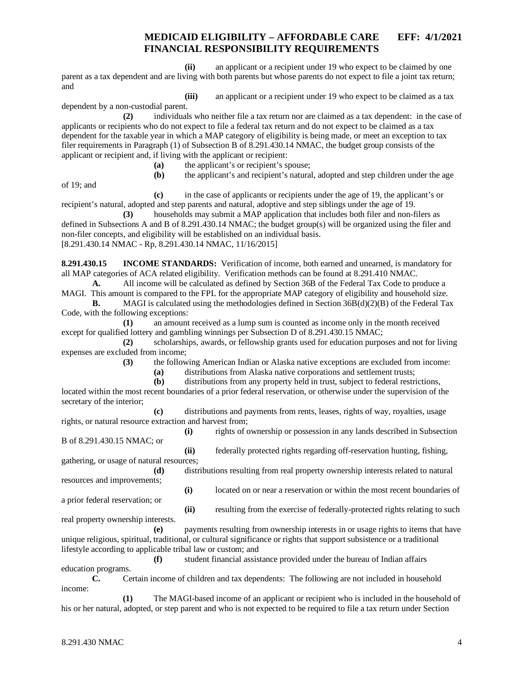**(ii)** an applicant or a recipient under 19 who expect to be claimed by one parent as a tax dependent and are living with both parents but whose parents do not expect to file a joint tax return; and

**(iii)** an applicant or a recipient under 19 who expect to be claimed as a tax

dependent by a non-custodial parent.

**(2)** individuals who neither file a tax return nor are claimed as a tax dependent: in the case of applicants or recipients who do not expect to file a federal tax return and do not expect to be claimed as a tax dependent for the taxable year in which a MAP category of eligibility is being made, or meet an exception to tax filer requirements in Paragraph (1) of Subsection B of 8.291.430.14 NMAC, the budget group consists of the applicant or recipient and, if living with the applicant or recipient:

- **(a)** the applicant's or recipient's spouse;
- **(b)** the applicant's and recipient's natural, adopted and step children under the age

of 19; and

**(c)** in the case of applicants or recipients under the age of 19, the applicant's or recipient's natural, adopted and step parents and natural, adoptive and step siblings under the age of 19.

**(3)** households may submit a MAP application that includes both filer and non-filers as defined in Subsections A and B of 8.291.430.14 NMAC; the budget group(s) will be organized using the filer and non-filer concepts, and eligibility will be established on an individual basis. [8.291.430.14 NMAC - Rp, 8.291.430.14 NMAC, 11/16/2015]

<span id="page-4-0"></span>**8.291.430.15 INCOME STANDARDS:** Verification of income, both earned and unearned, is mandatory for all MAP categories of ACA related eligibility. Verification methods can be found at 8.291.410 NMAC.

**A.** All income will be calculated as defined by Section 36B of the Federal Tax Code to produce a MAGI. This amount is compared to the FPL for the appropriate MAP category of eligibility and household size.

**B.** MAGI is calculated using the methodologies defined in Section 36B(d)(2)(B) of the Federal Tax Code, with the following exceptions:

**(1)** an amount received as a lump sum is counted as income only in the month received except for qualified lottery and gambling winnings per Subsection D of 8.291.430.15 NMAC;

**(2)** scholarships, awards, or fellowship grants used for education purposes and not for living expenses are excluded from income;

**(3)** the following American Indian or Alaska native exceptions are excluded from income:

**(a)** distributions from Alaska native corporations and settlement trusts;

**(b)** distributions from any property held in trust, subject to federal restrictions, located within the most recent boundaries of a prior federal reservation, or otherwise under the supervision of the secretary of the interior;

**(c)** distributions and payments from rents, leases, rights of way, royalties, usage rights, or natural resource extraction and harvest from;

**(i)** rights of ownership or possession in any lands described in Subsection B of 8.291.430.15 NMAC; or

**(ii)** federally protected rights regarding off-reservation hunting, fishing, gathering, or usage of natural resources;

**(d)** distributions resulting from real property ownership interests related to natural resources and improvements;

**(i)** located on or near a reservation or within the most recent boundaries of a prior federal reservation; or

real property ownership interests.

**(ii)** resulting from the exercise of federally-protected rights relating to such

**(e)** payments resulting from ownership interests in or usage rights to items that have unique religious, spiritual, traditional, or cultural significance or rights that support subsistence or a traditional lifestyle according to applicable tribal law or custom; and

**(f)** student financial assistance provided under the bureau of Indian affairs

education programs.

**C.** Certain income of children and tax dependents: The following are not included in household income:

**(1)** The MAGI-based income of an applicant or recipient who is included in the household of his or her natural, adopted, or step parent and who is not expected to be required to file a tax return under Section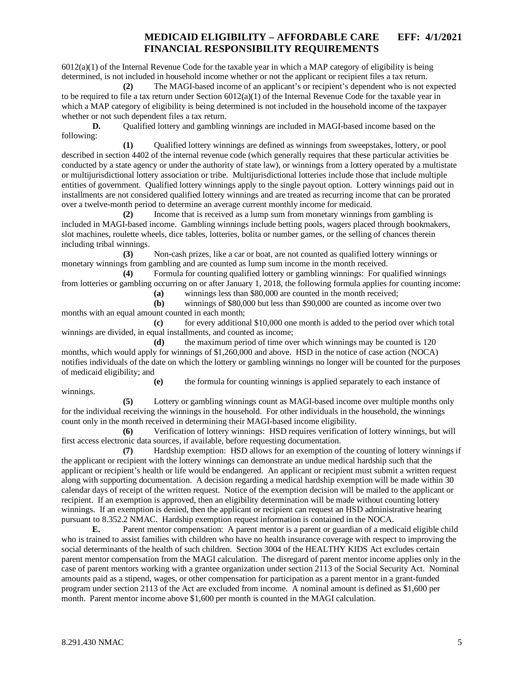$6012(a)(1)$  of the Internal Revenue Code for the taxable year in which a MAP category of eligibility is being determined, is not included in household income whether or not the applicant or recipient files a tax return.

**(2)** The MAGI-based income of an applicant's or recipient's dependent who is not expected to be required to file a tax return under Section  $6012(a)(1)$  of the Internal Revenue Code for the taxable year in which a MAP category of eligibility is being determined is not included in the household income of the taxpayer whether or not such dependent files a tax return.

**D.** Qualified lottery and gambling winnings are included in MAGI-based income based on the following:

**(1)** Qualified lottery winnings are defined as winnings from sweepstakes, lottery, or pool described in section 4402 of the internal revenue code (which generally requires that these particular activities be conducted by a state agency or under the authority of state law), or winnings from a lottery operated by a multistate or multijurisdictional lottery association or tribe. Multijurisdictional lotteries include those that include multiple entities of government. Qualified lottery winnings apply to the single payout option. Lottery winnings paid out in installments are not considered qualified lottery winnings and are treated as recurring income that can be prorated over a twelve-month period to determine an average current monthly income for medicaid.

**(2)** Income that is received as a lump sum from monetary winnings from gambling is included in MAGI-based income. Gambling winnings include betting pools, wagers placed through bookmakers, slot machines, roulette wheels, dice tables, lotteries, bolita or number games, or the selling of chances therein including tribal winnings.

**(3)** Non-cash prizes, like a car or boat, are not counted as qualified lottery winnings or monetary winnings from gambling and are counted as lump sum income in the month received.

**(4)** Formula for counting qualified lottery or gambling winnings: For qualified winnings from lotteries or gambling occurring on or after January 1, 2018, the following formula applies for counting income:

**(a)** winnings less than \$80,000 are counted in the month received;

**(b)** winnings of \$80,000 but less than \$90,000 are counted as income over two months with an equal amount counted in each month;

**(c)** for every additional \$10,000 one month is added to the period over which total winnings are divided, in equal installments, and counted as income;

**(d)** the maximum period of time over which winnings may be counted is 120 months, which would apply for winnings of \$1,260,000 and above. HSD in the notice of case action (NOCA) notifies individuals of the date on which the lottery or gambling winnings no longer will be counted for the purposes of medicaid eligibility; and

**(e)** the formula for counting winnings is applied separately to each instance of winnings.

**(5)** Lottery or gambling winnings count as MAGI-based income over multiple months only for the individual receiving the winnings in the household. For other individuals in the household, the winnings count only in the month received in determining their MAGI-based income eligibility.

**(6)** Verification of lottery winnings: HSD requires verification of lottery winnings, but will first access electronic data sources, if available, before requesting documentation.

**(7)** Hardship exemption: HSD allows for an exemption of the counting of lottery winnings if the applicant or recipient with the lottery winnings can demonstrate an undue medical hardship such that the applicant or recipient's health or life would be endangered. An applicant or recipient must submit a written request along with supporting documentation. A decision regarding a medical hardship exemption will be made within 30 calendar days of receipt of the written request. Notice of the exemption decision will be mailed to the applicant or recipient. If an exemption is approved, then an eligibility determination will be made without counting lottery winnings. If an exemption is denied, then the applicant or recipient can request an HSD administrative hearing pursuant to 8.352.2 NMAC. Hardship exemption request information is contained in the NOCA.

**E.** Parent mentor compensation: A parent mentor is a parent or guardian of a medicaid eligible child who is trained to assist families with children who have no health insurance coverage with respect to improving the social determinants of the health of such children. Section 3004 of the HEALTHY KIDS Act excludes certain parent mentor compensation from the MAGI calculation. The disregard of parent mentor income applies only in the case of parent mentors working with a grantee organization under section 2113 of the Social Security Act. Nominal amounts paid as a stipend, wages, or other compensation for participation as a parent mentor in a grant-funded program under section 2113 of the Act are excluded from income. A nominal amount is defined as \$1,600 per month. Parent mentor income above \$1,600 per month is counted in the MAGI calculation.